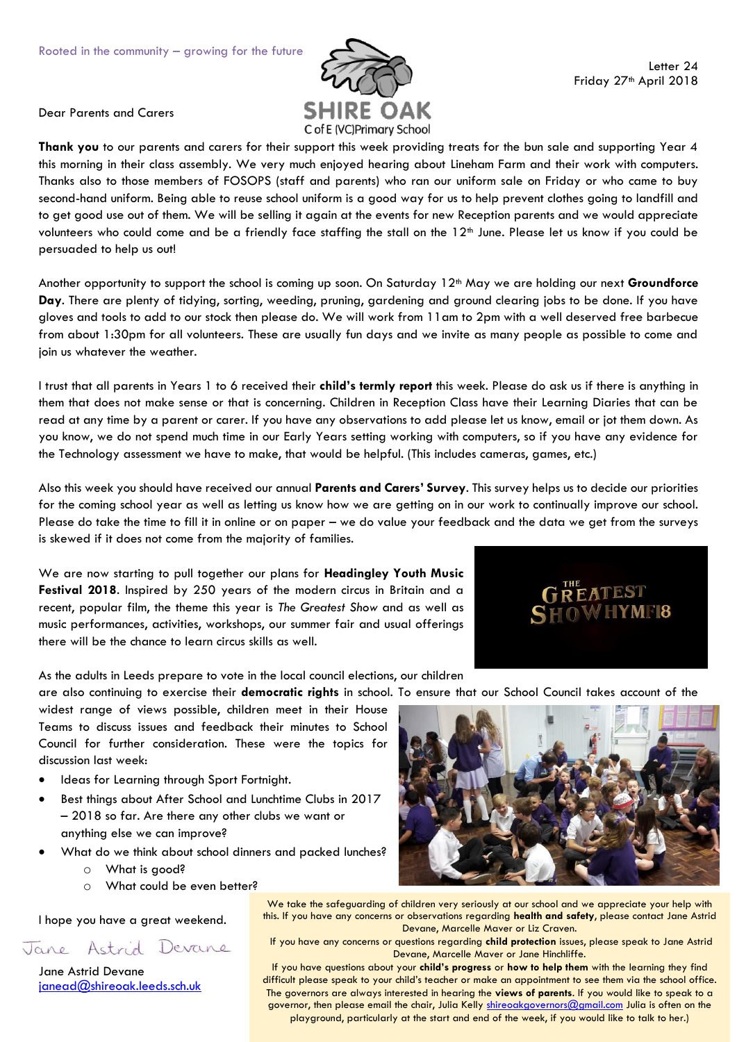

Dear Parents and Carers

**Thank you** to our parents and carers for their support this week providing treats for the bun sale and supporting Year 4 this morning in their class assembly. We very much enjoyed hearing about Lineham Farm and their work with computers. Thanks also to those members of FOSOPS (staff and parents) who ran our uniform sale on Friday or who came to buy second-hand uniform. Being able to reuse school uniform is a good way for us to help prevent clothes going to landfill and to get good use out of them. We will be selling it again at the events for new Reception parents and we would appreciate volunteers who could come and be a friendly face staffing the stall on the 12<sup>th</sup> June. Please let us know if you could be persuaded to help us out!

Another opportunity to support the school is coming up soon. On Saturday 12th May we are holding our next **Groundforce Day**. There are plenty of tidying, sorting, weeding, pruning, gardening and ground clearing jobs to be done. If you have gloves and tools to add to our stock then please do. We will work from 11am to 2pm with a well deserved free barbecue from about 1:30pm for all volunteers. These are usually fun days and we invite as many people as possible to come and join us whatever the weather.

I trust that all parents in Years 1 to 6 received their **child's termly report** this week. Please do ask us if there is anything in them that does not make sense or that is concerning. Children in Reception Class have their Learning Diaries that can be read at any time by a parent or carer. If you have any observations to add please let us know, email or jot them down. As you know, we do not spend much time in our Early Years setting working with computers, so if you have any evidence for the Technology assessment we have to make, that would be helpful. (This includes cameras, games, etc.)

Also this week you should have received our annual **Parents and Carers' Survey**. This survey helps us to decide our priorities for the coming school year as well as letting us know how we are getting on in our work to continually improve our school. Please do take the time to fill it in online or on paper – we do value your feedback and the data we get from the surveys is skewed if it does not come from the majority of families.

We are now starting to pull together our plans for **Headingley Youth Music Festival 2018**. Inspired by 250 years of the modern circus in Britain and a recent, popular film, the theme this year is *The Greatest Show* and as well as music performances, activities, workshops, our summer fair and usual offerings there will be the chance to learn circus skills as well.



As the adults in Leeds prepare to vote in the local council elections, our children

widest range of views possible, children meet in their House Teams to discuss issues and feedback their minutes to School Council for further consideration. These were the topics for discussion last week:

- Ideas for Learning through Sport Fortnight.
- Best things about After School and Lunchtime Clubs in 2017 – 2018 so far. Are there any other clubs we want or anything else we can improve?
- What do we think about school dinners and packed lunches?
	- o What is good?
	- o What could be even better?

I hope you have a great weekend.

Jane Astrid Devane

Jane Astrid Devane [janead@shireoak.leeds.sch.uk](mailto:janead@shireoak.leeds.sch.uk)

are also continuing to exercise their **democratic rights** in school. To ensure that our School Council takes account of the



We take the safeguarding of children very seriously at our school and we appreciate your help with this. If you have any concerns or observations regarding **health and safety**, please contact Jane Astrid Devane, Marcelle Maver or Liz Craven.

If you have any concerns or questions regarding **child protection** issues, please speak to Jane Astrid Devane, Marcelle Maver or Jane Hinchliffe.

If you have questions about your **child's progress** or **how to help them** with the learning they find difficult please speak to your child's teacher or make an appointment to see them via the school office. The governors are always interested in hearing the **views of parents**. If you would like to speak to a governor, then please email the chair, Julia Kelly [shireoakgovernors@gmail.com](mailto:shireoakgovernors@gmail.com) Julia is often on the playground, particularly at the start and end of the week, if you would like to talk to her.)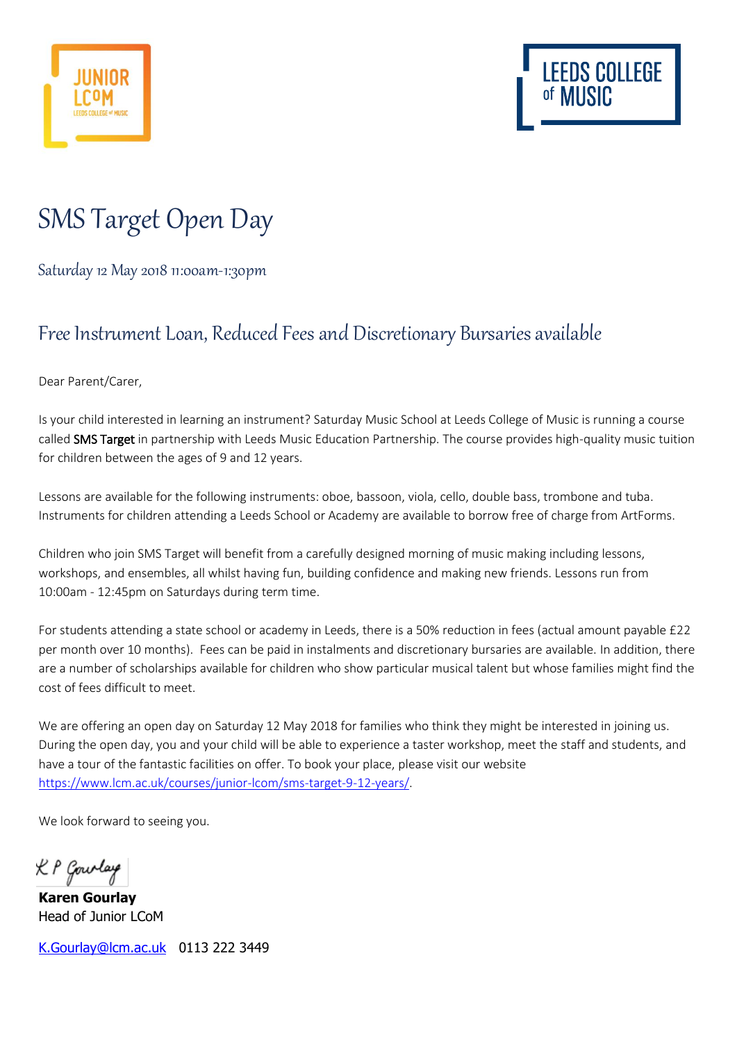



## SMS Target Open Day

Saturday 12 May 2018 11:00am-1:30pm

## Free Instrument Loan, Reduced Feesand Discretionary Bursaries available

Dear Parent/Carer,

Is your child interested in learning an instrument? Saturday Music School at Leeds College of Music is running a course called SMS Target in partnership with Leeds Music Education Partnership. The course provides high-quality music tuition for children between the ages of 9 and 12 years.

Lessons are available for the following instruments: oboe, bassoon, viola, cello, double bass, trombone and tuba. Instruments for children attending a Leeds School or Academy are available to borrow free of charge from ArtForms.

Children who join SMS Target will benefit from a carefully designed morning of music making including lessons, workshops, and ensembles, all whilst having fun, building confidence and making new friends. Lessons run from 10:00am - 12:45pm on Saturdays during term time.

For students attending a state school or academy in Leeds, there is a 50% reduction in fees (actual amount payable £22 per month over 10 months). Fees can be paid in instalments and discretionary bursaries are available. In addition, there are a number of scholarships available for children who show particular musical talent but whose families might find the cost of fees difficult to meet.

We are offering an open day on Saturday 12 May 2018 for families who think they might be interested in joining us. During the open day, you and your child will be able to experience a taster workshop, meet the staff and students, and have a tour of the fantastic facilities on offer. To book your place, please visit our website [https://www.lcm.ac.uk/courses/junior-lcom/sms-target-9-12-years/.](https://www.lcm.ac.uk/courses/junior-lcom/sms-target-9-12-years/)

We look forward to seeing you.

K P Gourlay

**Karen Gourlay** Head of Junior LCoM

[K.Gourlay@lcm.ac.uk](mailto:K.Gourlay@lcm.ac.uk) 0113 222 3449